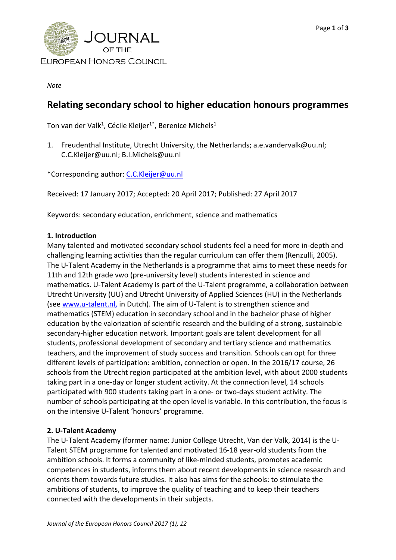

*Note*

# **Relating secondary school to higher education honours programmes**

Ton van der Valk<sup>1</sup>, Cécile Kleijer<sup>1\*</sup>, Berenice Michels<sup>1</sup>

1. Freudenthal Institute, Utrecht University, the Netherlands; a.e.vandervalk@uu.nl; C.C.Kleijer@uu.nl; B.I.Michels@uu.nl

\*Corresponding author: [C.C.Kleijer@uu.nl](mailto:C.C.Kleijer@uu.nl)

Received: 17 January 2017; Accepted: 20 April 2017; Published: 27 April 2017

Keywords: secondary education, enrichment, science and mathematics

#### **1. Introduction**

Many talented and motivated secondary school students feel a need for more in-depth and challenging learning activities than the regular curriculum can offer them (Renzulli, 2005). The U-Talent Academy in the Netherlands is a programme that aims to meet these needs for 11th and 12th grade vwo (pre-university level) students interested in science and mathematics. U-Talent Academy is part of the U-Talent programme, a collaboration between Utrecht University (UU) and Utrecht University of Applied Sciences (HU) in the Netherlands (see [www.u-talent.nl,](http://www.u-talent.nl/) in Dutch). The aim of U-Talent is to strengthen science and mathematics (STEM) education in secondary school and in the bachelor phase of higher education by the valorization of scientific research and the building of a strong, sustainable secondary-higher education network. Important goals are talent development for all students, professional development of secondary and tertiary science and mathematics teachers, and the improvement of study success and transition. Schools can opt for three different levels of participation: ambition, connection or open. In the 2016/17 course, 26 schools from the Utrecht region participated at the ambition level, with about 2000 students taking part in a one-day or longer student activity. At the connection level, 14 schools participated with 900 students taking part in a one- or two-days student activity. The number of schools participating at the open level is variable. In this contribution, the focus is on the intensive U-Talent 'honours' programme.

## **2. U-Talent Academy**

The U-Talent Academy (former name: Junior College Utrecht, Van der Valk, 2014) is the U-Talent STEM programme for talented and motivated 16-18 year-old students from the ambition schools. It forms a community of like-minded students, promotes academic competences in students, informs them about recent developments in science research and orients them towards future studies. It also has aims for the schools: to stimulate the ambitions of students, to improve the quality of teaching and to keep their teachers connected with the developments in their subjects.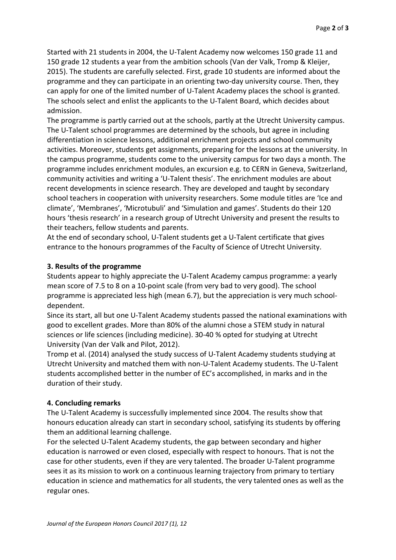Started with 21 students in 2004, the U-Talent Academy now welcomes 150 grade 11 and 150 grade 12 students a year from the ambition schools (Van der Valk, Tromp & Kleijer, 2015). The students are carefully selected. First, grade 10 students are informed about the programme and they can participate in an orienting two-day university course. Then, they can apply for one of the limited number of U-Talent Academy places the school is granted. The schools select and enlist the applicants to the U-Talent Board, which decides about admission.

The programme is partly carried out at the schools, partly at the Utrecht University campus. The U-Talent school programmes are determined by the schools, but agree in including differentiation in science lessons, additional enrichment projects and school community activities. Moreover, students get assignments, preparing for the lessons at the university. In the campus programme, students come to the university campus for two days a month. The programme includes enrichment modules, an excursion e.g. to CERN in Geneva, Switzerland, community activities and writing a 'U-Talent thesis'. The enrichment modules are about recent developments in science research. They are developed and taught by secondary school teachers in cooperation with university researchers. Some module titles are 'Ice and climate', 'Membranes', 'Microtubuli' and 'Simulation and games'. Students do their 120 hours 'thesis research' in a research group of Utrecht University and present the results to their teachers, fellow students and parents.

At the end of secondary school, U-Talent students get a U-Talent certificate that gives entrance to the honours programmes of the Faculty of Science of Utrecht University.

## **3. Results of the programme**

Students appear to highly appreciate the U-Talent Academy campus programme: a yearly mean score of 7.5 to 8 on a 10-point scale (from very bad to very good). The school programme is appreciated less high (mean 6.7), but the appreciation is very much schooldependent.

Since its start, all but one U-Talent Academy students passed the national examinations with good to excellent grades. More than 80% of the alumni chose a STEM study in natural sciences or life sciences (including medicine). 30-40 % opted for studying at Utrecht University (Van der Valk and Pilot, 2012).

Tromp et al. (2014) analysed the study success of U-Talent Academy students studying at Utrecht University and matched them with non-U-Talent Academy students. The U-Talent students accomplished better in the number of EC's accomplished, in marks and in the duration of their study.

## **4. Concluding remarks**

The U-Talent Academy is successfully implemented since 2004. The results show that honours education already can start in secondary school, satisfying its students by offering them an additional learning challenge.

For the selected U-Talent Academy students, the gap between secondary and higher education is narrowed or even closed, especially with respect to honours. That is not the case for other students, even if they are very talented. The broader U-Talent programme sees it as its mission to work on a continuous learning trajectory from primary to tertiary education in science and mathematics for all students, the very talented ones as well as the regular ones.